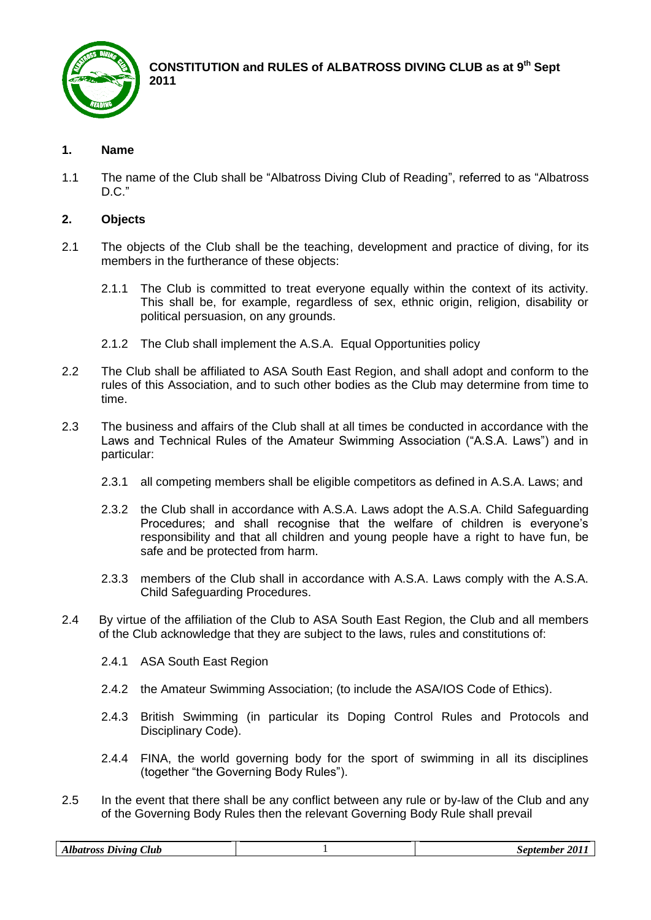

**CONSTITUTION and RULES of ALBATROSS DIVING CLUB as at 9th Sept 2011**

# **1. Name**

1.1 The name of the Club shall be "Albatross Diving Club of Reading", referred to as "Albatross D.C."

# **2. Objects**

- 2.1 The objects of the Club shall be the teaching, development and practice of diving, for its members in the furtherance of these objects:
	- 2.1.1 The Club is committed to treat everyone equally within the context of its activity. This shall be, for example, regardless of sex, ethnic origin, religion, disability or political persuasion, on any grounds.
	- 2.1.2 The Club shall implement the A.S.A. Equal Opportunities policy
- 2.2 The Club shall be affiliated to ASA South East Region, and shall adopt and conform to the rules of this Association, and to such other bodies as the Club may determine from time to time.
- 2.3 The business and affairs of the Club shall at all times be conducted in accordance with the Laws and Technical Rules of the Amateur Swimming Association ("A.S.A. Laws") and in particular:
	- 2.3.1 all competing members shall be eligible competitors as defined in A.S.A. Laws; and
	- 2.3.2 the Club shall in accordance with A.S.A. Laws adopt the A.S.A. Child Safeguarding Procedures; and shall recognise that the welfare of children is everyone's responsibility and that all children and young people have a right to have fun, be safe and be protected from harm.
	- 2.3.3 members of the Club shall in accordance with A.S.A. Laws comply with the A.S.A. Child Safeguarding Procedures.
- 2.4 By virtue of the affiliation of the Club to ASA South East Region, the Club and all members of the Club acknowledge that they are subject to the laws, rules and constitutions of:
	- 2.4.1 ASA South East Region
	- 2.4.2 the Amateur Swimming Association; (to include the ASA/IOS Code of Ethics).
	- 2.4.3 British Swimming (in particular its Doping Control Rules and Protocols and Disciplinary Code).
	- 2.4.4 FINA, the world governing body for the sport of swimming in all its disciplines (together "the Governing Body Rules").
- 2.5 In the event that there shall be any conflict between any rule or by-law of the Club and any of the Governing Body Rules then the relevant Governing Body Rule shall prevail

| 201<br>Albatross <i>I</i><br>September<br><b>Diving</b> | Club |
|---------------------------------------------------------|------|
|---------------------------------------------------------|------|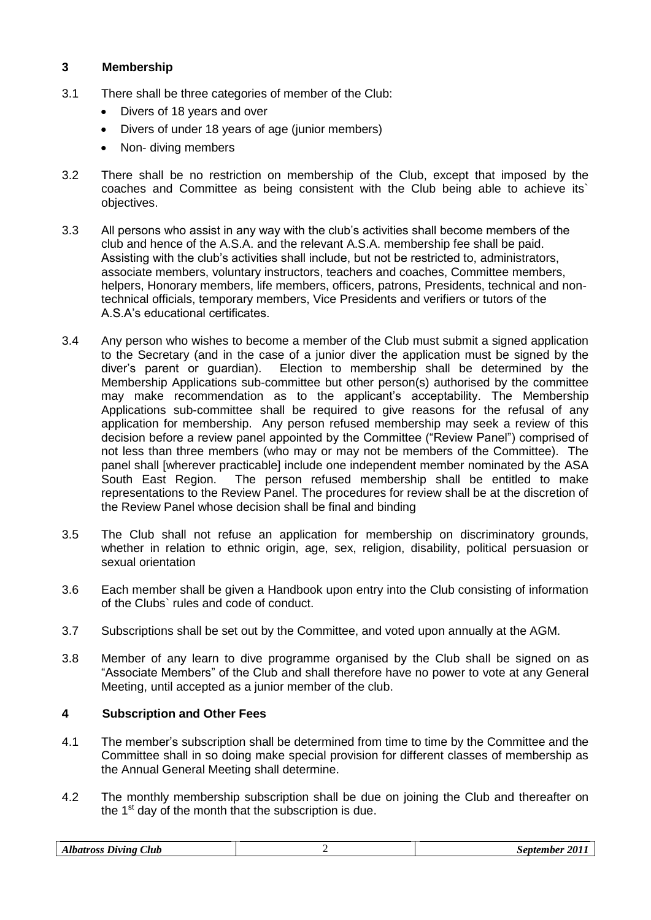# **3 Membership**

- 3.1 There shall be three categories of member of the Club:
	- Divers of 18 years and over
	- Divers of under 18 years of age (junior members)
	- Non- diving members
- 3.2 There shall be no restriction on membership of the Club, except that imposed by the coaches and Committee as being consistent with the Club being able to achieve its` objectives.
- 3.3 All persons who assist in any way with the club's activities shall become members of the club and hence of the A.S.A. and the relevant A.S.A. membership fee shall be paid. Assisting with the club's activities shall include, but not be restricted to, administrators, associate members, voluntary instructors, teachers and coaches, Committee members, helpers, Honorary members, life members, officers, patrons, Presidents, technical and nontechnical officials, temporary members, Vice Presidents and verifiers or tutors of the A.S.A's educational certificates.
- 3.4 Any person who wishes to become a member of the Club must submit a signed application to the Secretary (and in the case of a junior diver the application must be signed by the diver's parent or guardian). Election to membership shall be determined by the Membership Applications sub-committee but other person(s) authorised by the committee may make recommendation as to the applicant's acceptability. The Membership Applications sub-committee shall be required to give reasons for the refusal of any application for membership. Any person refused membership may seek a review of this decision before a review panel appointed by the Committee ("Review Panel") comprised of not less than three members (who may or may not be members of the Committee). The panel shall [wherever practicable] include one independent member nominated by the ASA South East Region. The person refused membership shall be entitled to make representations to the Review Panel. The procedures for review shall be at the discretion of the Review Panel whose decision shall be final and binding
- 3.5 The Club shall not refuse an application for membership on discriminatory grounds, whether in relation to ethnic origin, age, sex, religion, disability, political persuasion or sexual orientation
- 3.6 Each member shall be given a Handbook upon entry into the Club consisting of information of the Clubs` rules and code of conduct.
- 3.7 Subscriptions shall be set out by the Committee, and voted upon annually at the AGM.
- 3.8 Member of any learn to dive programme organised by the Club shall be signed on as "Associate Members" of the Club and shall therefore have no power to vote at any General Meeting, until accepted as a junior member of the club.

### **4 Subscription and Other Fees**

- 4.1 The member's subscription shall be determined from time to time by the Committee and the Committee shall in so doing make special provision for different classes of membership as the Annual General Meeting shall determine.
- 4.2 The monthly membership subscription shall be due on joining the Club and thereafter on the  $1<sup>st</sup>$  day of the month that the subscription is due.

| $\sim$<br>,,,<br>Albatross Diving "<br>Club | <b>201</b><br>September |
|---------------------------------------------|-------------------------|
|---------------------------------------------|-------------------------|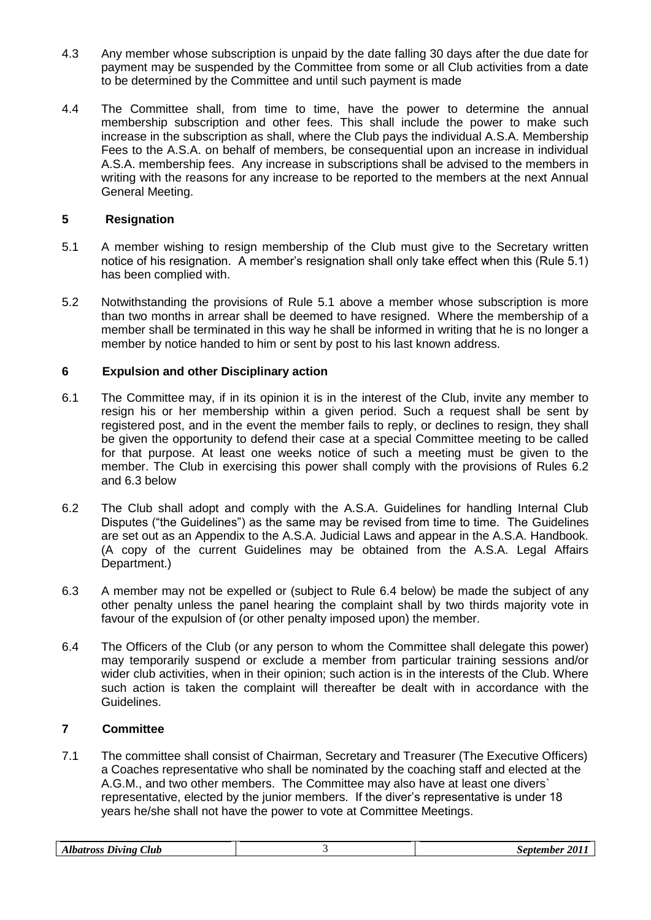- 4.3 Any member whose subscription is unpaid by the date falling 30 days after the due date for payment may be suspended by the Committee from some or all Club activities from a date to be determined by the Committee and until such payment is made
- 4.4 The Committee shall, from time to time, have the power to determine the annual membership subscription and other fees. This shall include the power to make such increase in the subscription as shall, where the Club pays the individual A.S.A. Membership Fees to the A.S.A. on behalf of members, be consequential upon an increase in individual A.S.A. membership fees. Any increase in subscriptions shall be advised to the members in writing with the reasons for any increase to be reported to the members at the next Annual General Meeting.

## **5 Resignation**

- 5.1 A member wishing to resign membership of the Club must give to the Secretary written notice of his resignation. A member's resignation shall only take effect when this (Rule 5.1) has been complied with.
- 5.2 Notwithstanding the provisions of Rule 5.1 above a member whose subscription is more than two months in arrear shall be deemed to have resigned. Where the membership of a member shall be terminated in this way he shall be informed in writing that he is no longer a member by notice handed to him or sent by post to his last known address.

## **6 Expulsion and other Disciplinary action**

- 6.1 The Committee may, if in its opinion it is in the interest of the Club, invite any member to resign his or her membership within a given period. Such a request shall be sent by registered post, and in the event the member fails to reply, or declines to resign, they shall be given the opportunity to defend their case at a special Committee meeting to be called for that purpose. At least one weeks notice of such a meeting must be given to the member. The Club in exercising this power shall comply with the provisions of Rules 6.2 and 6.3 below
- 6.2 The Club shall adopt and comply with the A.S.A. Guidelines for handling Internal Club Disputes ("the Guidelines") as the same may be revised from time to time. The Guidelines are set out as an Appendix to the A.S.A. Judicial Laws and appear in the A.S.A. Handbook. (A copy of the current Guidelines may be obtained from the A.S.A. Legal Affairs Department.)
- 6.3 A member may not be expelled or (subject to Rule 6.4 below) be made the subject of any other penalty unless the panel hearing the complaint shall by two thirds majority vote in favour of the expulsion of (or other penalty imposed upon) the member.
- 6.4 The Officers of the Club (or any person to whom the Committee shall delegate this power) may temporarily suspend or exclude a member from particular training sessions and/or wider club activities, when in their opinion; such action is in the interests of the Club. Where such action is taken the complaint will thereafter be dealt with in accordance with the Guidelines.

### **7 Committee**

7.1 The committee shall consist of Chairman, Secretary and Treasurer (The Executive Officers) a Coaches representative who shall be nominated by the coaching staff and elected at the A.G.M., and two other members. The Committee may also have at least one divers` representative, elected by the junior members. If the diver's representative is under 18 years he/she shall not have the power to vote at Committee Meetings.

| $\sim$<br>Albatross Diving<br>Club |  | <i>201</i><br>september |
|------------------------------------|--|-------------------------|
|------------------------------------|--|-------------------------|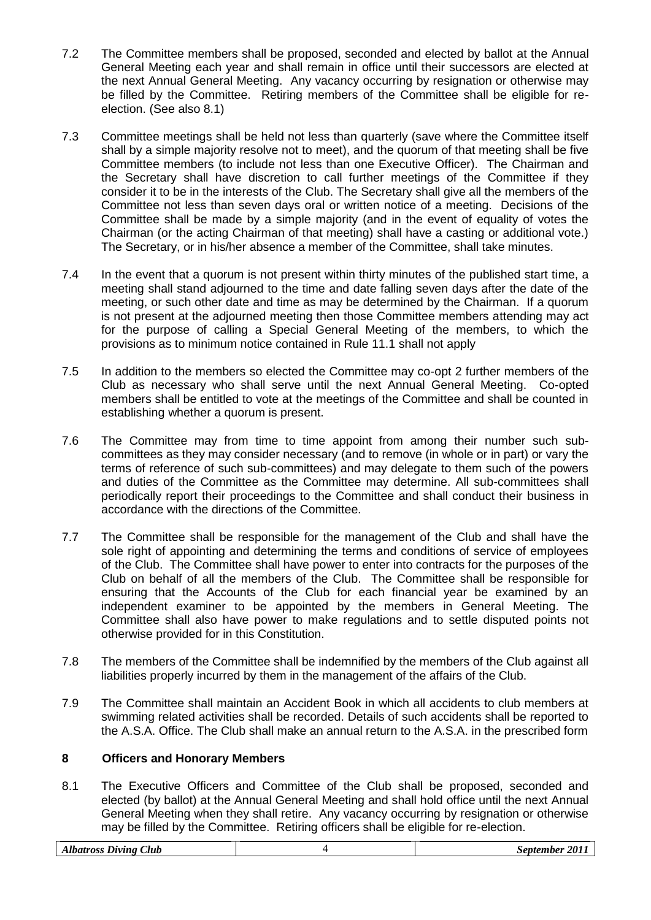- 7.2 The Committee members shall be proposed, seconded and elected by ballot at the Annual General Meeting each year and shall remain in office until their successors are elected at the next Annual General Meeting. Any vacancy occurring by resignation or otherwise may be filled by the Committee. Retiring members of the Committee shall be eligible for reelection. (See also 8.1)
- 7.3 Committee meetings shall be held not less than quarterly (save where the Committee itself shall by a simple majority resolve not to meet), and the quorum of that meeting shall be five Committee members (to include not less than one Executive Officer). The Chairman and the Secretary shall have discretion to call further meetings of the Committee if they consider it to be in the interests of the Club. The Secretary shall give all the members of the Committee not less than seven days oral or written notice of a meeting. Decisions of the Committee shall be made by a simple majority (and in the event of equality of votes the Chairman (or the acting Chairman of that meeting) shall have a casting or additional vote.) The Secretary, or in his/her absence a member of the Committee, shall take minutes.
- 7.4 In the event that a quorum is not present within thirty minutes of the published start time, a meeting shall stand adjourned to the time and date falling seven days after the date of the meeting, or such other date and time as may be determined by the Chairman. If a quorum is not present at the adjourned meeting then those Committee members attending may act for the purpose of calling a Special General Meeting of the members, to which the provisions as to minimum notice contained in Rule 11.1 shall not apply
- 7.5 In addition to the members so elected the Committee may co-opt 2 further members of the Club as necessary who shall serve until the next Annual General Meeting. Co-opted members shall be entitled to vote at the meetings of the Committee and shall be counted in establishing whether a quorum is present.
- 7.6 The Committee may from time to time appoint from among their number such subcommittees as they may consider necessary (and to remove (in whole or in part) or vary the terms of reference of such sub-committees) and may delegate to them such of the powers and duties of the Committee as the Committee may determine. All sub-committees shall periodically report their proceedings to the Committee and shall conduct their business in accordance with the directions of the Committee.
- 7.7 The Committee shall be responsible for the management of the Club and shall have the sole right of appointing and determining the terms and conditions of service of employees of the Club. The Committee shall have power to enter into contracts for the purposes of the Club on behalf of all the members of the Club. The Committee shall be responsible for ensuring that the Accounts of the Club for each financial year be examined by an independent examiner to be appointed by the members in General Meeting. The Committee shall also have power to make regulations and to settle disputed points not otherwise provided for in this Constitution.
- 7.8 The members of the Committee shall be indemnified by the members of the Club against all liabilities properly incurred by them in the management of the affairs of the Club.
- 7.9 The Committee shall maintain an Accident Book in which all accidents to club members at swimming related activities shall be recorded. Details of such accidents shall be reported to the A.S.A. Office. The Club shall make an annual return to the A.S.A. in the prescribed form

### **8 Officers and Honorary Members**

8.1 The Executive Officers and Committee of the Club shall be proposed, seconded and elected (by ballot) at the Annual General Meeting and shall hold office until the next Annual General Meeting when they shall retire. Any vacancy occurring by resignation or otherwise may be filled by the Committee. Retiring officers shall be eligible for re-election.

| Club<br>.<br>atrocc<br>Diving<br>$\Lambda$ ww<br>USS.<br>້້ | 2011<br>.onton<br>$\mathbb{R}$ mber<br>. |
|-------------------------------------------------------------|------------------------------------------|
|                                                             |                                          |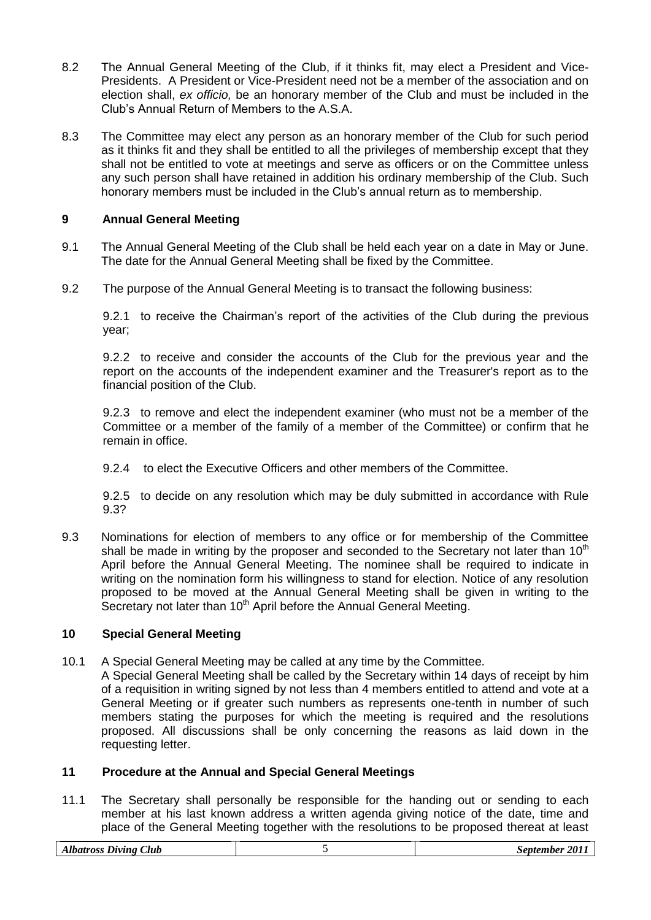- 8.2 The Annual General Meeting of the Club, if it thinks fit, may elect a President and Vice-Presidents. A President or Vice-President need not be a member of the association and on election shall, *ex officio,* be an honorary member of the Club and must be included in the Club's Annual Return of Members to the A.S.A.
- 8.3 The Committee may elect any person as an honorary member of the Club for such period as it thinks fit and they shall be entitled to all the privileges of membership except that they shall not be entitled to vote at meetings and serve as officers or on the Committee unless any such person shall have retained in addition his ordinary membership of the Club. Such honorary members must be included in the Club's annual return as to membership.

## **9 Annual General Meeting**

- 9.1 The Annual General Meeting of the Club shall be held each year on a date in May or June. The date for the Annual General Meeting shall be fixed by the Committee.
- 9.2 The purpose of the Annual General Meeting is to transact the following business:

9.2.1 to receive the Chairman's report of the activities of the Club during the previous year;

9.2.2 to receive and consider the accounts of the Club for the previous year and the report on the accounts of the independent examiner and the Treasurer's report as to the financial position of the Club.

9.2.3 to remove and elect the independent examiner (who must not be a member of the Committee or a member of the family of a member of the Committee) or confirm that he remain in office.

9.2.4 to elect the Executive Officers and other members of the Committee.

9.2.5 to decide on any resolution which may be duly submitted in accordance with Rule 9.3?

9.3 Nominations for election of members to any office or for membership of the Committee shall be made in writing by the proposer and seconded to the Secretary not later than  $10<sup>th</sup>$ April before the Annual General Meeting. The nominee shall be required to indicate in writing on the nomination form his willingness to stand for election. Notice of any resolution proposed to be moved at the Annual General Meeting shall be given in writing to the Secretary not later than  $10<sup>th</sup>$  April before the Annual General Meeting.

## **10 Special General Meeting**

10.1 A Special General Meeting may be called at any time by the Committee.

A Special General Meeting shall be called by the Secretary within 14 days of receipt by him of a requisition in writing signed by not less than 4 members entitled to attend and vote at a General Meeting or if greater such numbers as represents one-tenth in number of such members stating the purposes for which the meeting is required and the resolutions proposed. All discussions shall be only concerning the reasons as laid down in the requesting letter.

## **11 Procedure at the Annual and Special General Meetings**

11.1 The Secretary shall personally be responsible for the handing out or sending to each member at his last known address a written agenda giving notice of the date, time and place of the General Meeting together with the resolutions to be proposed thereat at least

| Club<br>$_{Diving}$<br><i><b>Albatross</b></i> |  | 2011<br><i>september</i> |
|------------------------------------------------|--|--------------------------|
|------------------------------------------------|--|--------------------------|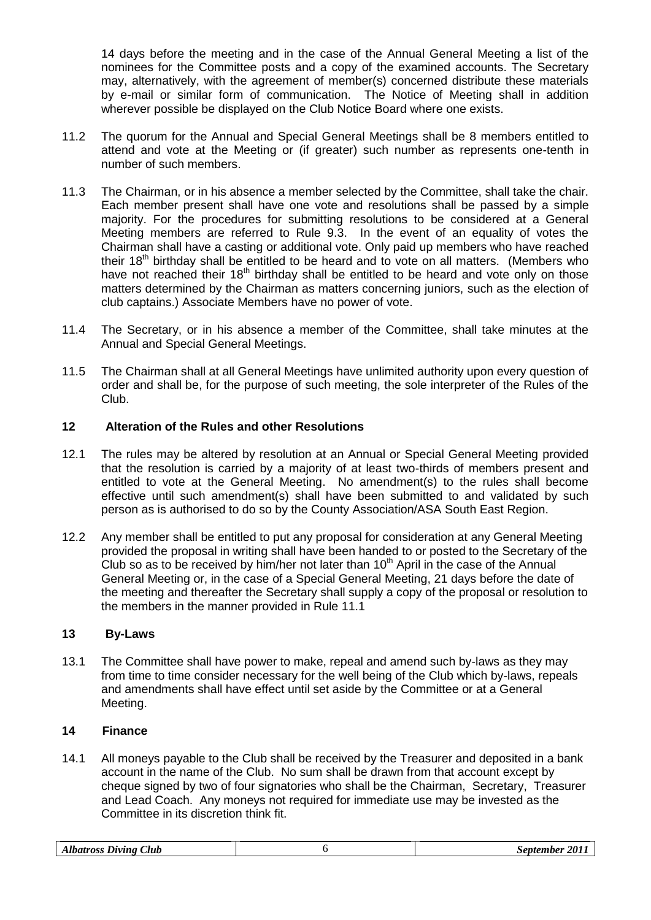14 days before the meeting and in the case of the Annual General Meeting a list of the nominees for the Committee posts and a copy of the examined accounts. The Secretary may, alternatively, with the agreement of member(s) concerned distribute these materials by e-mail or similar form of communication. The Notice of Meeting shall in addition wherever possible be displayed on the Club Notice Board where one exists.

- 11.2 The quorum for the Annual and Special General Meetings shall be 8 members entitled to attend and vote at the Meeting or (if greater) such number as represents one-tenth in number of such members.
- 11.3 The Chairman, or in his absence a member selected by the Committee, shall take the chair. Each member present shall have one vote and resolutions shall be passed by a simple majority. For the procedures for submitting resolutions to be considered at a General Meeting members are referred to Rule 9.3. In the event of an equality of votes the Chairman shall have a casting or additional vote. Only paid up members who have reached their 18<sup>th</sup> birthday shall be entitled to be heard and to vote on all matters. (Members who have not reached their  $18<sup>th</sup>$  birthday shall be entitled to be heard and vote only on those matters determined by the Chairman as matters concerning juniors, such as the election of club captains.) Associate Members have no power of vote.
- 11.4 The Secretary, or in his absence a member of the Committee, shall take minutes at the Annual and Special General Meetings.
- 11.5 The Chairman shall at all General Meetings have unlimited authority upon every question of order and shall be, for the purpose of such meeting, the sole interpreter of the Rules of the Club.

### **12 Alteration of the Rules and other Resolutions**

- 12.1 The rules may be altered by resolution at an Annual or Special General Meeting provided that the resolution is carried by a majority of at least two-thirds of members present and entitled to vote at the General Meeting. No amendment(s) to the rules shall become effective until such amendment(s) shall have been submitted to and validated by such person as is authorised to do so by the County Association/ASA South East Region.
- 12.2 Any member shall be entitled to put any proposal for consideration at any General Meeting provided the proposal in writing shall have been handed to or posted to the Secretary of the Club so as to be received by him/her not later than  $10<sup>th</sup>$  April in the case of the Annual General Meeting or, in the case of a Special General Meeting, 21 days before the date of the meeting and thereafter the Secretary shall supply a copy of the proposal or resolution to the members in the manner provided in Rule 11.1

### **13 By-Laws**

13.1 The Committee shall have power to make, repeal and amend such by-laws as they may from time to time consider necessary for the well being of the Club which by-laws, repeals and amendments shall have effect until set aside by the Committee or at a General Meeting.

### **14 Finance**

14.1 All moneys payable to the Club shall be received by the Treasurer and deposited in a bank account in the name of the Club. No sum shall be drawn from that account except by cheque signed by two of four signatories who shall be the Chairman, Secretary, Treasurer and Lead Coach. Any moneys not required for immediate use may be invested as the Committee in its discretion think fit.

| Club<br>Albatross Diving |  | $-201.$<br><i>september</i> |
|--------------------------|--|-----------------------------|
|--------------------------|--|-----------------------------|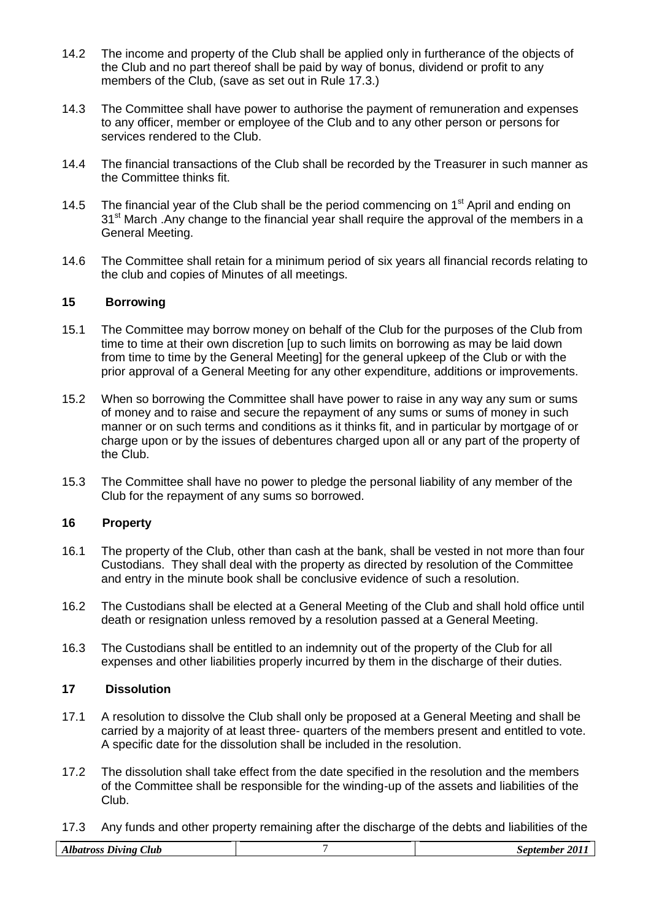- 14.2 The income and property of the Club shall be applied only in furtherance of the objects of the Club and no part thereof shall be paid by way of bonus, dividend or profit to any members of the Club, (save as set out in Rule 17.3.)
- 14.3 The Committee shall have power to authorise the payment of remuneration and expenses to any officer, member or employee of the Club and to any other person or persons for services rendered to the Club.
- 14.4 The financial transactions of the Club shall be recorded by the Treasurer in such manner as the Committee thinks fit.
- 14.5 The financial year of the Club shall be the period commencing on  $1<sup>st</sup>$  April and ending on 31<sup>st</sup> March .Any change to the financial year shall require the approval of the members in a General Meeting.
- 14.6 The Committee shall retain for a minimum period of six years all financial records relating to the club and copies of Minutes of all meetings.

### **15 Borrowing**

- 15.1 The Committee may borrow money on behalf of the Club for the purposes of the Club from time to time at their own discretion [up to such limits on borrowing as may be laid down from time to time by the General Meeting] for the general upkeep of the Club or with the prior approval of a General Meeting for any other expenditure, additions or improvements.
- 15.2 When so borrowing the Committee shall have power to raise in any way any sum or sums of money and to raise and secure the repayment of any sums or sums of money in such manner or on such terms and conditions as it thinks fit, and in particular by mortgage of or charge upon or by the issues of debentures charged upon all or any part of the property of the Club.
- 15.3 The Committee shall have no power to pledge the personal liability of any member of the Club for the repayment of any sums so borrowed.

#### **16 Property**

- 16.1 The property of the Club, other than cash at the bank, shall be vested in not more than four Custodians. They shall deal with the property as directed by resolution of the Committee and entry in the minute book shall be conclusive evidence of such a resolution.
- 16.2 The Custodians shall be elected at a General Meeting of the Club and shall hold office until death or resignation unless removed by a resolution passed at a General Meeting.
- 16.3 The Custodians shall be entitled to an indemnity out of the property of the Club for all expenses and other liabilities properly incurred by them in the discharge of their duties.

#### **17 Dissolution**

- 17.1 A resolution to dissolve the Club shall only be proposed at a General Meeting and shall be carried by a majority of at least three- quarters of the members present and entitled to vote. A specific date for the dissolution shall be included in the resolution.
- 17.2 The dissolution shall take effect from the date specified in the resolution and the members of the Committee shall be responsible for the winding-up of the assets and liabilities of the Club.
- 17.3 Any funds and other property remaining after the discharge of the debts and liabilities of the

| $\sim$<br>Club<br>Jivino<br>.<br>$-1$ | $\cdot$ 201.<br>.nn<br>mher. |
|---------------------------------------|------------------------------|
|                                       |                              |